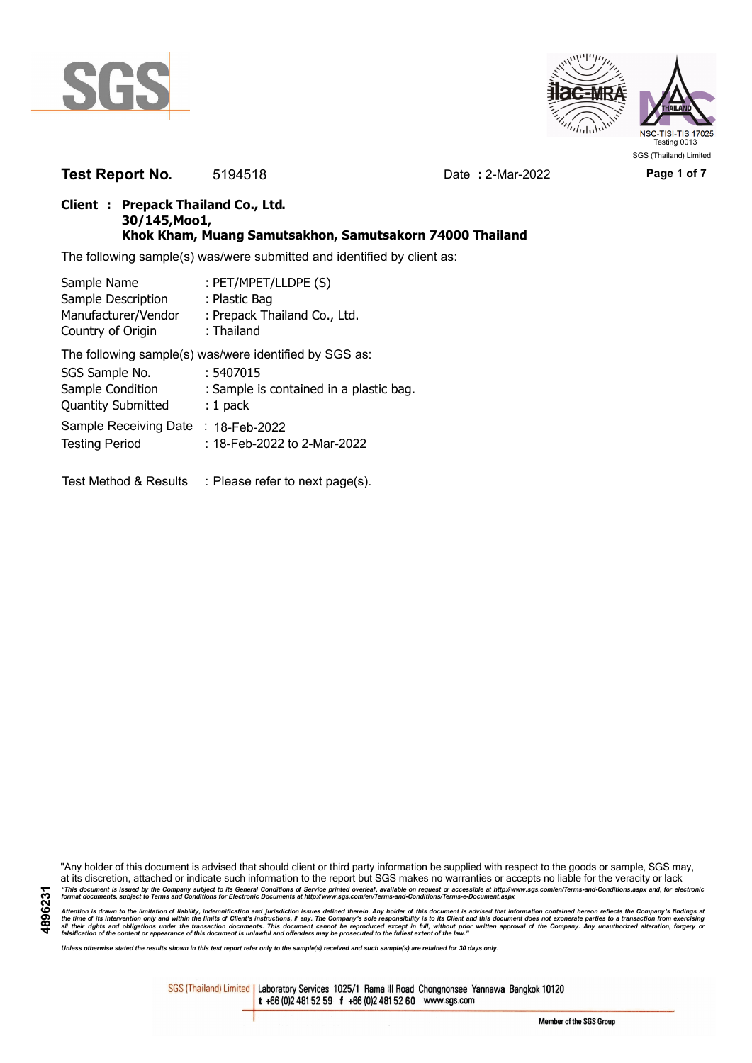



**Test Report No.** 5194518 Date **:** 2-Mar-2022 **Page 1 of 7**

### **Client : Prepack Thailand Co., Ltd. 30/145,Moo1, Khok Kham, Muang Samutsakhon, Samutsakorn 74000 Thailand**

The following sample(s) was/were submitted and identified by client as:

| Sample Name               | : PET/MPET/LLDPE (S)                                   |
|---------------------------|--------------------------------------------------------|
| Sample Description        | : Plastic Bag                                          |
| Manufacturer/Vendor       | : Prepack Thailand Co., Ltd.                           |
| Country of Origin         | : Thailand                                             |
|                           | The following sample(s) was/were identified by SGS as: |
| SGS Sample No.            | : 5407015                                              |
| Sample Condition          | : Sample is contained in a plastic bag.                |
| <b>Quantity Submitted</b> | $: 1$ pack                                             |
| Sample Receiving Date     | $: 18$ -Feb-2022                                       |
| <b>Testing Period</b>     | : 18-Feb-2022 to 2-Mar-2022                            |
|                           |                                                        |

Test Method & Results : Please refer to next page(s).

"Any holder of this document is advised that should client or third party information be supplied with respect to the goods or sample, SGS may, at its discretion, attached or indicate such information to the report but SGS makes no warranties or accepts no liable for the veracity or lack "This document is issued by the Company subject to its General Conditions of Service printed overleaf, available on request or accessible at http://www.sgs.com/en/Terms-and-Conditions.aspx and, for electronic<br>format docume

Attention is drawn to the limitation of liability, indemnification and jurisdiction issues defined therein. Any holder of this document is advised that information contained hereon reflects the Company's findings at<br>all th

*Unless otherwise stated the results shown in this test report refer only to the sample(s) received and such sample(s) are retained for 30 days only.*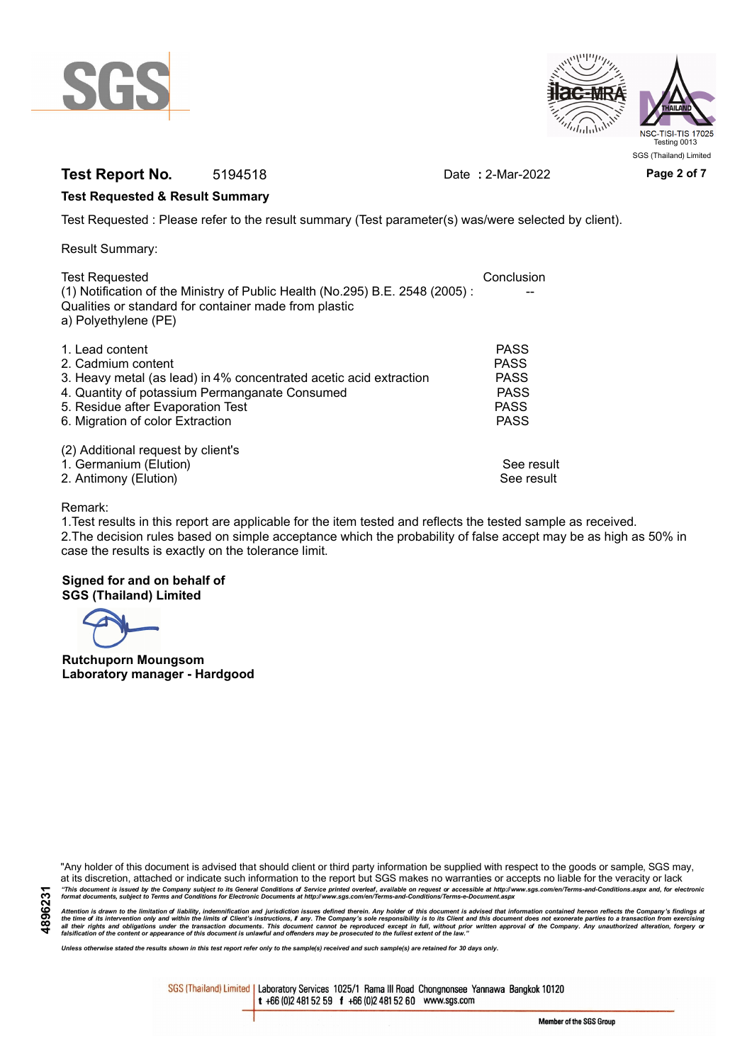



## **Test Report No.** 5194518 Date **:** 2-Mar-2022 **Page 2 of 7**

#### **Test Requested & Result Summary**

Test Requested : Please refer to the result summary (Test parameter(s) was/were selected by client).

Result Summary:

| <b>Test Requested</b>                                                        | Conclusion  |
|------------------------------------------------------------------------------|-------------|
| (1) Notification of the Ministry of Public Health (No.295) B.E. 2548 (2005): |             |
| Qualities or standard for container made from plastic                        |             |
| a) Polyethylene (PE)                                                         |             |
|                                                                              |             |
| 1. Lead content                                                              | <b>PASS</b> |
| 2. Cadmium content                                                           | <b>PASS</b> |
| 3. Heavy metal (as lead) in 4% concentrated acetic acid extraction           | <b>PASS</b> |
| 4. Quantity of potassium Permanganate Consumed                               | <b>PASS</b> |
| 5. Residue after Evaporation Test                                            | <b>PASS</b> |
| 6. Migration of color Extraction                                             | <b>PASS</b> |
|                                                                              |             |
| (2) Additional request by client's                                           |             |
| 1. Germanium (Elution)                                                       | See result  |
| 2. Antimony (Elution)                                                        | See result  |
|                                                                              |             |

#### Remark:

1.Test results in this report are applicable for the item tested and reflects the tested sample as received. 2.The decision rules based on simple acceptance which the probability of false accept may be as high as 50% in case the results is exactly on the tolerance limit.

#### **Signed for and on behalf of SGS (Thailand) Limited**

**Rutchuporn Moungsom Laboratory manager - Hardgood**

"Any holder of this document is advised that should client or third party information be supplied with respect to the goods or sample, SGS may, at its discretion, attached or indicate such information to the report but SGS makes no warranties or accepts no liable for the veracity or lack "This document is issued by the Company subject to its General Conditions of Service printed overleaf, available on request or accessible at http://www.sgs.com/en/Terms-and-Conditions.aspx and, for electronic<br>format docume

Attention is drawn to the limitation of liability, indemnification and jurisdiction issues defined therein. Any holder of this document is advised that information contained hereon reflects the Company's findings at<br>all th

*Unless otherwise stated the results shown in this test report refer only to the sample(s) received and such sample(s) are retained for 30 days only.*

SGS (Thailand) Limited | Laboratory Services 1025/1 Rama III Road Chongnonsee Yannawa Bangkok 10120 t +66 (0)2 481 52 59 f +66 (0)2 481 52 60 www.sgs.com

Member of the SGS Group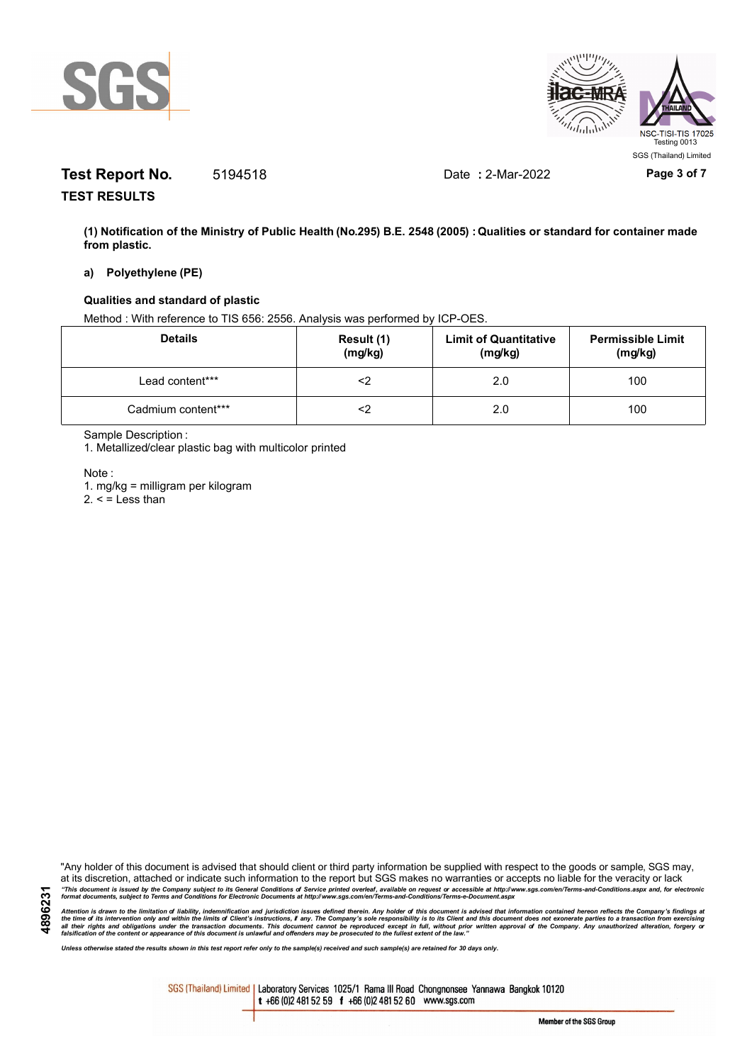



# **Test Report No.** 5194518 Date **:** 2-Mar-2022 **Page 3 of 7**

**TEST RESULTS**

**(1) Notification of the Ministry of Public Health (No.295) B.E. 2548 (2005) : Qualities or standard for container made from plastic.**

#### **a) Polyethylene (PE)**

#### **Qualities and standard of plastic**

Method : With reference to TIS 656: 2556. Analysis was performed by ICP-OES.

| <b>Details</b>     | Result (1)<br>(mg/kg) | <b>Limit of Quantitative</b><br>(mg/kg) | <b>Permissible Limit</b><br>(mg/kg) |
|--------------------|-----------------------|-----------------------------------------|-------------------------------------|
| Lead content***    |                       | 2.0                                     | 100                                 |
| Cadmium content*** |                       | 2.0                                     | 100                                 |

Sample Description :

1. Metallized/clear plastic bag with multicolor printed

Note :

**4896231**

1. mg/kg = milligram per kilogram

 $2. <$  = Less than

"Any holder of this document is advised that should client or third party information be supplied with respect to the goods or sample, SGS may, at its discretion, attached or indicate such information to the report but SGS makes no warranties or accepts no liable for the veracity or lack "This document is issued by the Company subject to its General Conditions of Service printed overleaf, available on request or accessible at http://www.sgs.com/en/Terms-and-Conditions.aspx and, for electronic<br>format docume

Attention is drawn to the limitation of liability, indemnification and jurisdiction issues defined therein. Any holder of this document is advised that information contained hereon reflects the Company's findings at<br>all th

*Unless otherwise stated the results shown in this test report refer only to the sample(s) received and such sample(s) are retained for 30 days only.*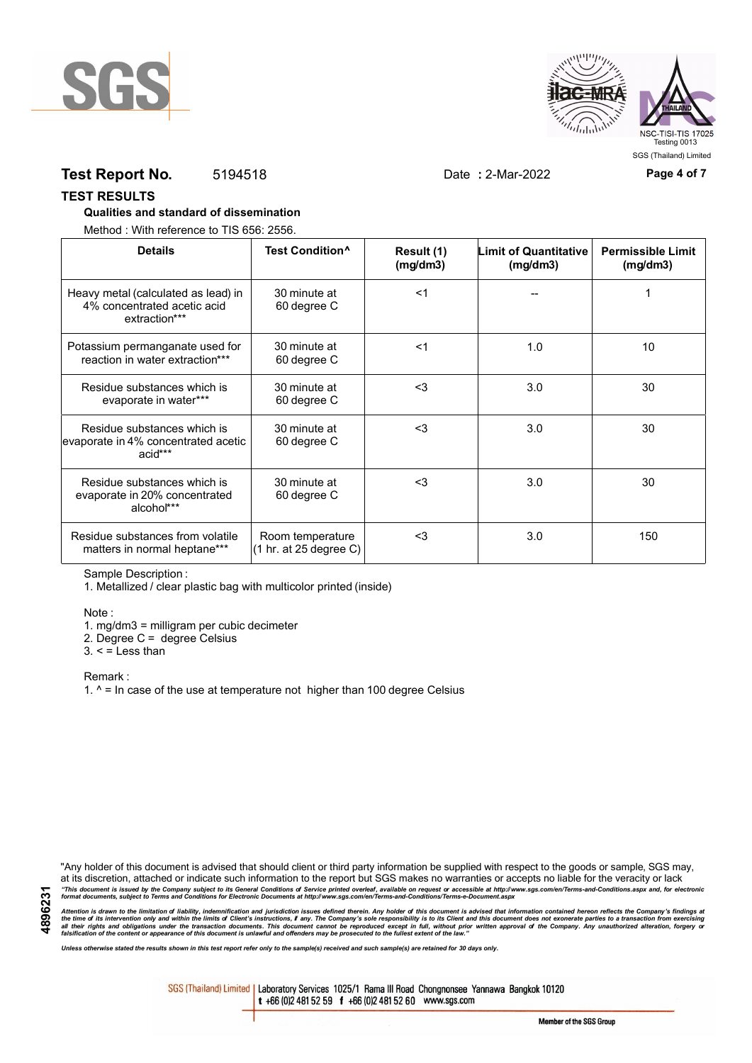



## **Test Report No.** 5194518 Date **:** 2-Mar-2022 **Page 4 of 7**

#### **TEST RESULTS**

#### **Qualities and standard of dissemination**

Method : With reference to TIS 656: 2556.

| <b>Details</b>                                                                      | Test Condition <sup>^</sup>                | Result (1)<br>(mg/dm3) | Limit of Quantitative<br>(mg/dm3) | <b>Permissible Limit</b><br>(mg/dm3) |
|-------------------------------------------------------------------------------------|--------------------------------------------|------------------------|-----------------------------------|--------------------------------------|
| Heavy metal (calculated as lead) in<br>4% concentrated acetic acid<br>extraction*** | 30 minute at<br>60 degree C                | $<$ 1                  |                                   |                                      |
| Potassium permanganate used for<br>reaction in water extraction***                  | 30 minute at<br>60 degree C                | $<$ 1                  | 1.0                               | 10                                   |
| Residue substances which is<br>evaporate in water***                                | 30 minute at<br>60 degree C                | $3$                    | 3.0                               | 30                                   |
| Residue substances which is<br>evaporate in 4% concentrated acetic<br>acid***       | 30 minute at<br>60 degree C                | <3                     | 3.0                               | 30                                   |
| Residue substances which is<br>evaporate in 20% concentrated<br>alcohol***          | 30 minute at<br>60 degree C                | $<$ 3                  | 3.0                               | 30                                   |
| Residue substances from volatile<br>matters in normal heptane***                    | Room temperature<br>(1 hr. at 25 degree C) | $3$                    | 3.0                               | 150                                  |

Sample Description :

1. Metallized / clear plastic bag with multicolor printed (inside)

Note :

1. mg/dm3 = milligram per cubic decimeter

2. Degree C = degree Celsius

 $3. <$  = Less than

Remark :

1.  $^{\circ}$  = In case of the use at temperature not higher than 100 degree Celsius

"Any holder of this document is advised that should client or third party information be supplied with respect to the goods or sample, SGS may, at its discretion, attached or indicate such information to the report but SGS makes no warranties or accepts no liable for the veracity or lack "This document is issued by the Company subject to its General Conditions of Service printed overleaf, available on request or accessible at http://www.sgs.com/en/Terms-and-Conditions.aspx and, for electronic<br>format docume

Attention is drawn to the limitation of liability, indemnification and jurisdiction issues defined therein. Any holder of this document is advised that information contained hereon reflects the Company's findings at<br>all th

*Unless otherwise stated the results shown in this test report refer only to the sample(s) received and such sample(s) are retained for 30 days only.*

SGS (Thailand) Limited | Laboratory Services 1025/1 Rama III Road Chongnonsee Yannawa Bangkok 10120 t +66 (0)2 481 52 59 f +66 (0)2 481 52 60 www.sgs.com

Member of the SGS Group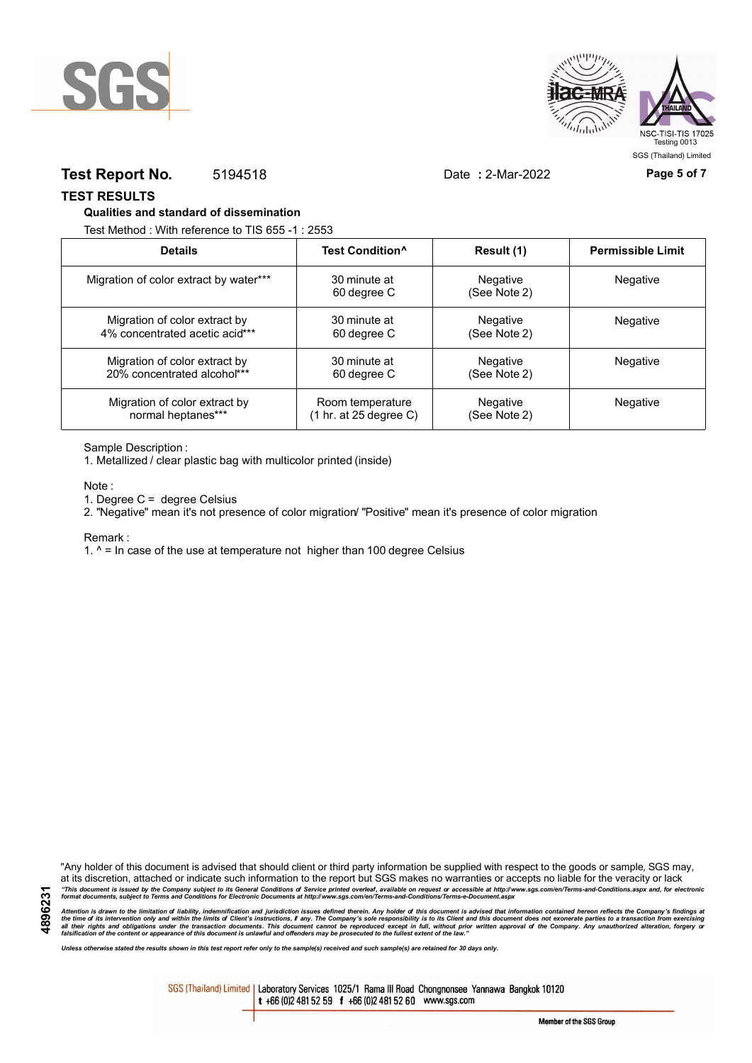



### **Test Report No.** 5194518 Date **:** 2-Mar-2022 **Page 5 of 7**

SGS (Thailand) Limited

**TEST RESULTS**

#### **Qualities and standard of dissemination**

Test Method : With reference to TIS 655 -1 : 2553

| <b>Details</b>                         | Test Condition <sup>^</sup> | Result (1)               | <b>Permissible Limit</b> |
|----------------------------------------|-----------------------------|--------------------------|--------------------------|
| Migration of color extract by water*** | 30 minute at<br>60 degree C | Negative<br>(See Note 2) | Negative                 |
| Migration of color extract by          | 30 minute at                | Negative                 | <b>Negative</b>          |
| 4% concentrated acetic acid***         | 60 degree C                 | (See Note 2)             |                          |
| Migration of color extract by          | 30 minute at                | Negative                 | Negative                 |
| 20% concentrated alcohol***            | 60 degree C                 | (See Note 2)             |                          |
| Migration of color extract by          | Room temperature            | Negative                 | Negative                 |
| normal heptanes***                     | (1 hr. at 25 degree C)      | (See Note 2)             |                          |

Sample Description :

1. Metallized / clear plastic bag with multicolor printed (inside)

Note :

1. Degree C = degree Celsius

2. "Negative" mean it's not presence of color migration/ "Positive" mean it's presence of color migration

#### Remark :

**4896231**

1.  $^{\circ}$  = In case of the use at temperature not higher than 100 degree Celsius

"Any holder of this document is advised that should client or third party information be supplied with respect to the goods or sample, SGS may, at its discretion, attached or indicate such information to the report but SGS makes no warranties or accepts no liable for the veracity or lack "This document is issued by the Company subject to its General Conditions of Service printed overleaf, available on request or accessible at http://www.sgs.com/en/Terms-and-Conditions.aspx and, for electronic<br>format docume

Attention is drawn to the limitation of liability, indemnification and jurisdiction issues defined therein. Any holder of this document is advised that information contained hereon reflects the Company's findings at<br>all th

*Unless otherwise stated the results shown in this test report refer only to the sample(s) received and such sample(s) are retained for 30 days only.*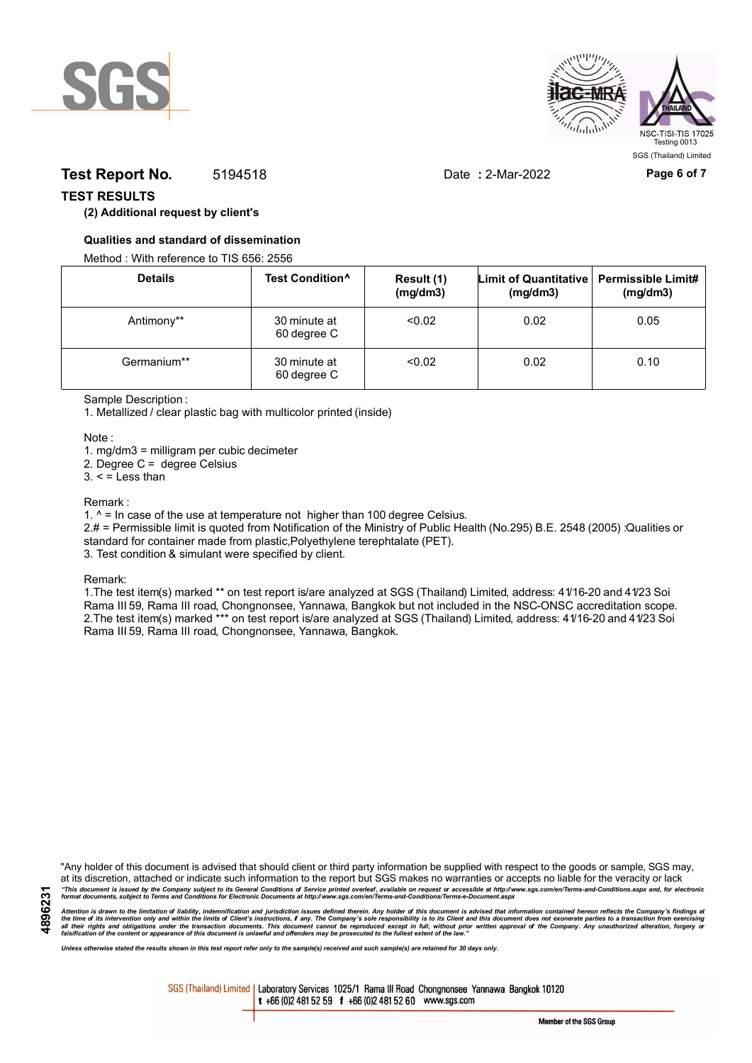



## **Test Report No.** 5194518 Date **:** 2-Mar-2022 **Page 6 of 7**

### **TEST RESULTS**

### **(2) Additional request by client's**

#### **Qualities and standard of dissemination**

Method : With reference to TIS 656: 2556

| <b>Details</b> | Test Condition <sup>^</sup> | Result (1)<br>(mg/dm3) | Limit of Quantitative   Permissible Limit#<br>(mg/dm3) | (mg/dm3) |
|----------------|-----------------------------|------------------------|--------------------------------------------------------|----------|
| Antimony**     | 30 minute at<br>60 degree C | < 0.02                 | 0.02                                                   | 0.05     |
| Germanium**    | 30 minute at<br>60 degree C | < 0.02                 | 0.02                                                   | 0.10     |

Sample Description :

1. Metallized / clear plastic bag with multicolor printed (inside)

Note :

1. mg/dm3 = milligram per cubic decimeter

2. Degree C = degree Celsius

 $3. <$  = Less than

#### Remark :

1.  $^{\circ}$  = In case of the use at temperature not higher than 100 degree Celsius.

2.# = Permissible limit is quoted from Notification of the Ministry of Public Health (No.295) B.E. 2548 (2005) :Qualities or standard for container made from plastic,Polyethylene terephtalate (PET).

3. Test condition & simulant were specified by client.

Remark:

1.The test item(s) marked \*\* on test report is/are analyzed at SGS (Thailand) Limited, address: 41/16-20 and 41/23 Soi Rama III 59, Rama III road, Chongnonsee, Yannawa, Bangkok but not included in the NSC-ONSC accreditation scope. 2.The test item(s) marked \*\*\* on test report is/are analyzed at SGS (Thailand) Limited, address: 41/16-20 and 41/23 Soi Rama III 59, Rama III road, Chongnonsee, Yannawa, Bangkok.

**4896231**

"Any holder of this document is advised that should client or third party information be supplied with respect to the goods or sample, SGS may, at its discretion, attached or indicate such information to the report but SGS makes no warranties or accepts no liable for the veracity or lack "This document is issued by the Company subject to its General Conditions of Service printed overleaf, available on request or accessible at http://www.sgs.com/en/Terms-and-Conditions.aspx and, for electronic<br>format docume

Attention is drawn to the limitation of liability, indemnification and jurisdiction issues defined therein. Any holder of this document is advised that information contained hereon reflects the Company's findings at<br>all th

*Unless otherwise stated the results shown in this test report refer only to the sample(s) received and such sample(s) are retained for 30 days only.*